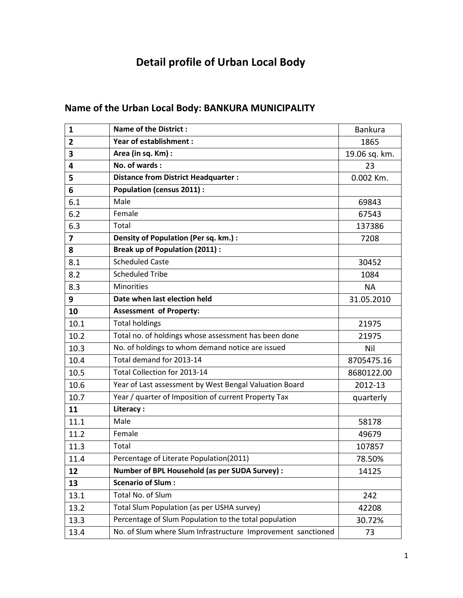## **Detail profile of Urban Local Body**

## **Name of the Urban Local Body: BANKURA MUNICIPALITY**

| 1              | <b>Name of the District:</b>                                 | <b>Bankura</b> |
|----------------|--------------------------------------------------------------|----------------|
| $\overline{2}$ | <b>Year of establishment:</b>                                | 1865           |
| 3              | Area (in sq. Km) :                                           | 19.06 sq. km.  |
| 4              | No. of wards:                                                | 23             |
| 5              | <b>Distance from District Headquarter:</b>                   | 0.002 Km.      |
| 6              | <b>Population (census 2011):</b>                             |                |
| 6.1            | Male                                                         | 69843          |
| 6.2            | Female                                                       | 67543          |
| 6.3            | Total                                                        | 137386         |
| 7              | Density of Population (Per sq. km.) :                        | 7208           |
| 8              | <b>Break up of Population (2011):</b>                        |                |
| 8.1            | <b>Scheduled Caste</b>                                       | 30452          |
| 8.2            | <b>Scheduled Tribe</b>                                       | 1084           |
| 8.3            | <b>Minorities</b>                                            | <b>NA</b>      |
| 9              | Date when last election held                                 | 31.05.2010     |
| 10             | <b>Assessment of Property:</b>                               |                |
| 10.1           | <b>Total holdings</b>                                        | 21975          |
| 10.2           | Total no. of holdings whose assessment has been done         | 21975          |
| 10.3           | No. of holdings to whom demand notice are issued             | Nil            |
| 10.4           | Total demand for 2013-14                                     | 8705475.16     |
| 10.5           | Total Collection for 2013-14                                 | 8680122.00     |
| 10.6           | Year of Last assessment by West Bengal Valuation Board       | 2012-13        |
| 10.7           | Year / quarter of Imposition of current Property Tax         | quarterly      |
| 11             | Literacy:                                                    |                |
| 11.1           | Male                                                         | 58178          |
| 11.2           | Female                                                       | 49679          |
| 11.3           | Total                                                        | 107857         |
| 11.4           | Percentage of Literate Population(2011)                      | 78.50%         |
| 12             | Number of BPL Household (as per SUDA Survey) :               | 14125          |
| 13             | <b>Scenario of Slum:</b>                                     |                |
| 13.1           | Total No. of Slum                                            | 242            |
| 13.2           | Total Slum Population (as per USHA survey)                   | 42208          |
| 13.3           | Percentage of Slum Population to the total population        | 30.72%         |
| 13.4           | No. of Slum where Slum Infrastructure Improvement sanctioned | 73             |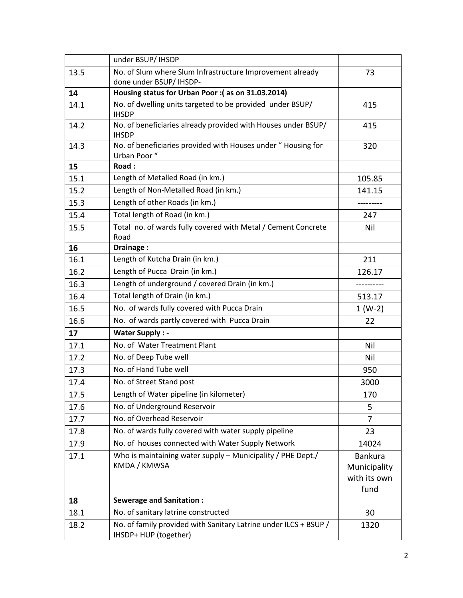|      | under BSUP/ IHSDP                                                                         |                                                        |
|------|-------------------------------------------------------------------------------------------|--------------------------------------------------------|
| 13.5 | No. of Slum where Slum Infrastructure Improvement already<br>done under BSUP/ IHSDP-      | 73                                                     |
| 14   | Housing status for Urban Poor : (as on 31.03.2014)                                        |                                                        |
| 14.1 | No. of dwelling units targeted to be provided under BSUP/<br><b>IHSDP</b>                 | 415                                                    |
| 14.2 | No. of beneficiaries already provided with Houses under BSUP/<br><b>IHSDP</b>             | 415                                                    |
| 14.3 | No. of beneficiaries provided with Houses under "Housing for<br>Urban Poor "              | 320                                                    |
| 15   | Road:                                                                                     |                                                        |
| 15.1 | Length of Metalled Road (in km.)                                                          | 105.85                                                 |
| 15.2 | Length of Non-Metalled Road (in km.)                                                      | 141.15                                                 |
| 15.3 | Length of other Roads (in km.)                                                            | -------                                                |
| 15.4 | Total length of Road (in km.)                                                             | 247                                                    |
| 15.5 | Total no. of wards fully covered with Metal / Cement Concrete<br>Road                     | Nil                                                    |
| 16   | Drainage:                                                                                 |                                                        |
| 16.1 | Length of Kutcha Drain (in km.)                                                           | 211                                                    |
| 16.2 | Length of Pucca Drain (in km.)                                                            | 126.17                                                 |
| 16.3 | Length of underground / covered Drain (in km.)                                            |                                                        |
| 16.4 | Total length of Drain (in km.)                                                            | 513.17                                                 |
| 16.5 | No. of wards fully covered with Pucca Drain                                               | $1 (W-2)$                                              |
| 16.6 | No. of wards partly covered with Pucca Drain                                              | 22                                                     |
| 17   | <b>Water Supply: -</b>                                                                    |                                                        |
| 17.1 | No. of Water Treatment Plant                                                              | Nil                                                    |
| 17.2 | No. of Deep Tube well                                                                     | Nil                                                    |
| 17.3 | No. of Hand Tube well                                                                     | 950                                                    |
| 17.4 | No. of Street Stand post                                                                  | 3000                                                   |
| 17.5 | Length of Water pipeline (in kilometer)                                                   | 170                                                    |
| 17.6 | No. of Underground Reservoir                                                              | 5                                                      |
| 17.7 | No. of Overhead Reservoir                                                                 | 7                                                      |
| 17.8 | No. of wards fully covered with water supply pipeline                                     | 23                                                     |
| 17.9 | No. of houses connected with Water Supply Network                                         | 14024                                                  |
| 17.1 | Who is maintaining water supply - Municipality / PHE Dept./<br>KMDA / KMWSA               | <b>Bankura</b><br>Municipality<br>with its own<br>fund |
| 18   | <b>Sewerage and Sanitation:</b>                                                           |                                                        |
| 18.1 | No. of sanitary latrine constructed                                                       | 30                                                     |
| 18.2 | No. of family provided with Sanitary Latrine under ILCS + BSUP /<br>IHSDP+ HUP (together) | 1320                                                   |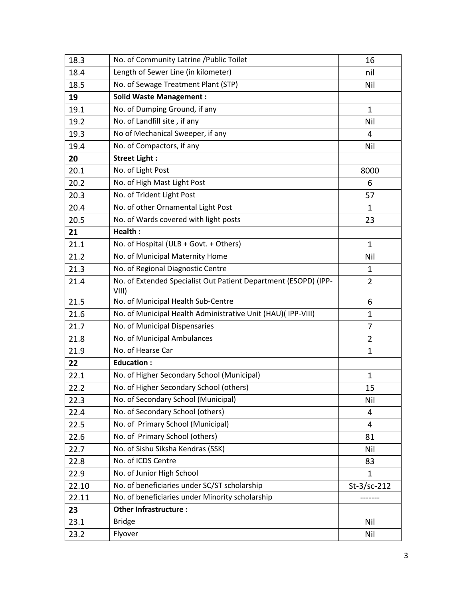| 18.3  | No. of Community Latrine /Public Toilet                                  | 16             |
|-------|--------------------------------------------------------------------------|----------------|
| 18.4  | Length of Sewer Line (in kilometer)                                      | nil            |
| 18.5  | No. of Sewage Treatment Plant (STP)                                      | Nil            |
| 19    | <b>Solid Waste Management:</b>                                           |                |
| 19.1  | No. of Dumping Ground, if any                                            | $\mathbf{1}$   |
| 19.2  | No. of Landfill site, if any                                             | Nil            |
| 19.3  | No of Mechanical Sweeper, if any                                         | 4              |
| 19.4  | No. of Compactors, if any                                                | Nil            |
| 20    | <b>Street Light:</b>                                                     |                |
| 20.1  | No. of Light Post                                                        | 8000           |
| 20.2  | No. of High Mast Light Post                                              | 6              |
| 20.3  | No. of Trident Light Post                                                | 57             |
| 20.4  | No. of other Ornamental Light Post                                       | 1              |
| 20.5  | No. of Wards covered with light posts                                    | 23             |
| 21    | Health:                                                                  |                |
| 21.1  | No. of Hospital (ULB + Govt. + Others)                                   | $\mathbf{1}$   |
| 21.2  | No. of Municipal Maternity Home                                          | Nil            |
| 21.3  | No. of Regional Diagnostic Centre                                        | 1              |
| 21.4  | No. of Extended Specialist Out Patient Department (ESOPD) (IPP-<br>VIII) | $\overline{2}$ |
| 21.5  | No. of Municipal Health Sub-Centre                                       | 6              |
| 21.6  | No. of Municipal Health Administrative Unit (HAU)(IPP-VIII)              | $\mathbf{1}$   |
| 21.7  | No. of Municipal Dispensaries                                            | 7              |
| 21.8  | No. of Municipal Ambulances                                              | $\overline{2}$ |
| 21.9  | No. of Hearse Car                                                        | $\mathbf{1}$   |
| 22    | <b>Education:</b>                                                        |                |
| 22.1  | No. of Higher Secondary School (Municipal)                               | $\mathbf{1}$   |
| 22.2  | No. of Higher Secondary School (others)                                  | 15             |
| 22.3  | No. of Secondary School (Municipal)                                      | Nil            |
| 22.4  | No. of Secondary School (others)                                         | 4              |
| 22.5  | No. of Primary School (Municipal)                                        | 4              |
| 22.6  | No. of Primary School (others)                                           | 81             |
| 22.7  | No. of Sishu Siksha Kendras (SSK)                                        | Nil            |
| 22.8  | No. of ICDS Centre                                                       | 83             |
| 22.9  | No. of Junior High School                                                | 1              |
| 22.10 | No. of beneficiaries under SC/ST scholarship                             | $St-3$ /sc-212 |
| 22.11 | No. of beneficiaries under Minority scholarship                          |                |
| 23    | <b>Other Infrastructure:</b>                                             |                |
| 23.1  | <b>Bridge</b>                                                            | Nil            |
| 23.2  | Flyover                                                                  | Nil            |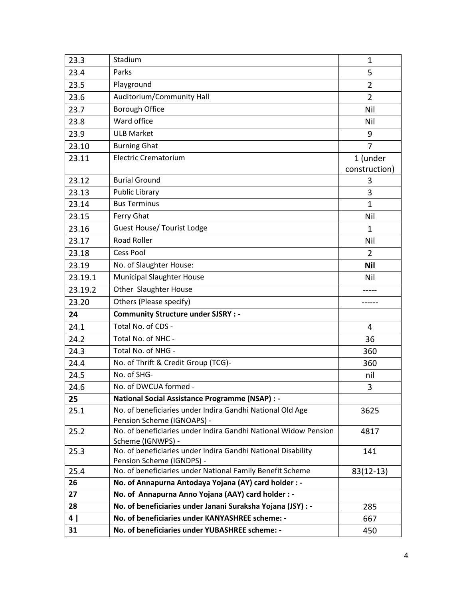| 23.3    | Stadium                                                                                 | 1              |
|---------|-----------------------------------------------------------------------------------------|----------------|
| 23.4    | Parks                                                                                   | 5              |
| 23.5    | Playground                                                                              | $\overline{2}$ |
| 23.6    | Auditorium/Community Hall                                                               | $\overline{2}$ |
| 23.7    | <b>Borough Office</b>                                                                   | Nil            |
| 23.8    | Ward office                                                                             | Nil            |
| 23.9    | <b>ULB Market</b>                                                                       | 9              |
| 23.10   | <b>Burning Ghat</b>                                                                     | $\overline{7}$ |
| 23.11   | <b>Electric Crematorium</b>                                                             | 1 (under       |
|         |                                                                                         | construction)  |
| 23.12   | <b>Burial Ground</b>                                                                    | 3              |
| 23.13   | <b>Public Library</b>                                                                   | 3              |
| 23.14   | <b>Bus Terminus</b>                                                                     | $\mathbf{1}$   |
| 23.15   | Ferry Ghat                                                                              | Nil            |
| 23.16   | <b>Guest House/ Tourist Lodge</b>                                                       | $\mathbf{1}$   |
| 23.17   | <b>Road Roller</b>                                                                      | Nil            |
| 23.18   | <b>Cess Pool</b>                                                                        | $\overline{2}$ |
| 23.19   | No. of Slaughter House:                                                                 | <b>Nil</b>     |
| 23.19.1 | <b>Municipal Slaughter House</b>                                                        | Nil            |
| 23.19.2 | Other Slaughter House                                                                   |                |
| 23.20   | Others (Please specify)                                                                 |                |
| 24      | <b>Community Structure under SJSRY : -</b>                                              |                |
| 24.1    | Total No. of CDS -                                                                      | 4              |
| 24.2    | Total No. of NHC -                                                                      | 36             |
| 24.3    | Total No. of NHG -                                                                      | 360            |
| 24.4    | No. of Thrift & Credit Group (TCG)-                                                     | 360            |
| 24.5    | No. of SHG-                                                                             | nil            |
| 24.6    | No. of DWCUA formed -                                                                   | 3              |
| 25      | <b>National Social Assistance Programme (NSAP) : -</b>                                  |                |
| 25.1    | No. of beneficiaries under Indira Gandhi National Old Age<br>Pension Scheme (IGNOAPS) - | 3625           |
| 25.2    | No. of beneficiaries under Indira Gandhi National Widow Pension                         | 4817           |
| 25.3    | Scheme (IGNWPS) -<br>No. of beneficiaries under Indira Gandhi National Disability       | 141            |
|         | Pension Scheme (IGNDPS) -                                                               |                |
| 25.4    | No. of beneficiaries under National Family Benefit Scheme                               | $83(12-13)$    |
| 26      | No. of Annapurna Antodaya Yojana (AY) card holder : -                                   |                |
| 27      | No. of Annapurna Anno Yojana (AAY) card holder : -                                      |                |
| 28      | No. of beneficiaries under Janani Suraksha Yojana (JSY) : -                             | 285            |
| 4       | No. of beneficiaries under KANYASHREE scheme: -                                         | 667            |
| 31      | No. of beneficiaries under YUBASHREE scheme: -                                          | 450            |